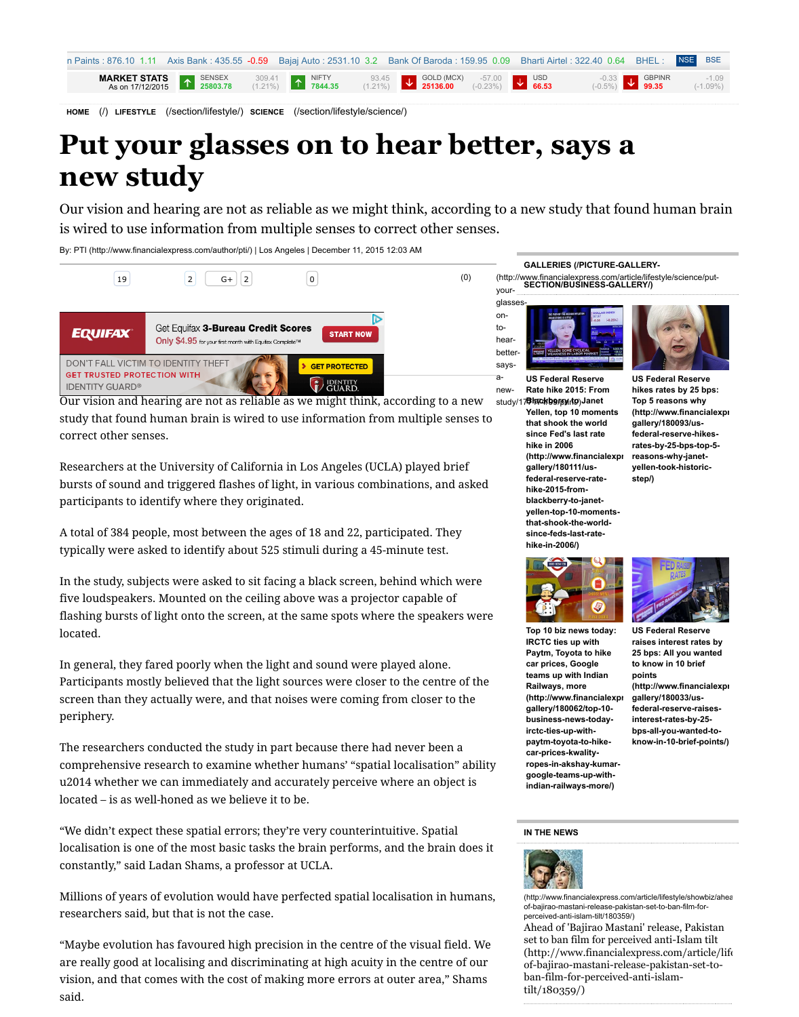Researchers at the University of California in Los Angeles (UCLA) played brief bursts of sound and triggered flashes of light, in various combination participants to identify where they originated.

[A total of](javascript://) 384 peopl[e, most bet](javascript://)ween the a[ges of 18 a](javascript://)nd 22, participate typically were asked to identify about 525 stimuli during a 45-minute

[In the stu](http://www.financialexpress.com/)[dy, subjects were asked to](http://www.financialexpress.com/section/lifestyle/) [sit facing a black screen, behin](http://www.financialexpress.com/section/lifestyle/science/)d v five loudspeakers. Mounted on the ceiling above was a projector capa flashing bursts of light onto the screen, at the same spots where the sp located.

In general, they fared poorly when the light and sound were played a Participants mostly believed that the light sources were closer to the screen than they actually were, and that noises were coming from close pe[riphery.](http://www.financialexpress.com/author/pti/)

The researchers conducted the study in part because there had never comprehensive research to examine whether humans' "spatial localistic omprehensive research to examine whether u2014 whether we can immediately and accurately percei[ve w](http://tpc.googlesyndication.com/safeframe/1-0-2/html/container.html#)here a [located – is as well-honed as we believe it to be.](http://a.rfihub.com/acn/b/c3Q9aHRtbCZhYT0xODc3NDI1LDE2MjY3NTYzLDg3OTYwNywzNDA1NzY5MSw0ODc4NSw1ODI3OTksZWQ0NmZmNTAyZGQwMjM2YzU2ZDdhMDg1YjdhYWNiNTIscCwyNDQzLDE3NDM2MSwxODI0MzQwOSwxODQwNzEsNDQ2NTIzJm10PTEmcmI9NDQ1JnJlPTE5MjM1JmhjaT0mdXVpZD02NDQ5OTc5MDU1MjU3MzEzNTUzJmRpPSZkYz0zJmRpc3JjPTAmZGlkPXRpZF81ODI3OTl8bWVkX3JlZ3VsYXJ8bXRpZF81ODI3ODN8c2VfNjYz/aHR0cDovL2FkY2xpY2suZy5kb3VibGVjbGljay5uZXQvYWNsayUzRnNhJTNEbCUyNmFpJTNEQ1hFdm1XZkZ5VnJQa0xLdXZsQUtObVlMZ0RyZnVwTklHNzg2bzNJUUN3STIzQVJBQklBQmd5ZDdvaHNpamtCbUNBUmRqWVMxd2RXSXRPVFV4TnpjM01qUTFOVE0wTkRRd05hQUJzLXpINndQSUFRbmdBZ0NvQXdHcUJJOENUOURTLTh6QTRhc1lyNDhpSmVLaXN3OFEtSjBKZmtwRWo1bFA2djB1Z0FRNEJYYXFrMXFyWHhBVTNLVWI2ajVwNmpuVzBxcXpXNDZpTTZZSmU3SGlQeHYxOFNlLVIzV1J3aXhVaU1JWmsxX0wtNUx1aGd3Rnpsbm9IQnFDWHRlMmhaUDZxS3l4SXBwSFFCOVpQcGdIV2ZWOUJIVjBUOVo0NEU4MHA3MVZac0pIOWlFT1REZDhrVkxlVmRyR0J5aGl0SE9Sa29WeHhvbUNmSG1Oc1NrQjV6OXRFSWpMbXFkeHhfbF9pdjY3QllBLUdmOG9lTWpoNWlpb2pTbFlhbU5pbEQwNlVWYkxVcUxmYTI5LXZLRy1kLWFONjZla1YxVjg5OE9fcmRzX0hXR3F1ZDRrczd4Wjl3Qm9xM3ZWV29la2ZoeUpPWjdrU0N0Umx0RklQNVJwRTZSODRzcFBqN3RGYTN1OC05QXBrT0FFQVlBR3h0dWlwZEhxN1pSc29BWWgyQWNBJTI2bnVtJTNEMSUyNnNpZyUzREFPRDY0XzAtM1NTMVR0UUFrSFo0T2FpRWhTSGFtc1BOUlElMjZjbGllbnQlM0RjYS1wdWItOTUxNzc3MjQ1NTM0NDQwNSUyNmFkdXJsJTNE/https://ad.doubleclick.net/ddm/jump/N6290.150363.ROCKETFUELINC2/B8821162.119432625;abr=!ie4;abr=!ie5;sz=728x90;ord=1450373465794;;displayHTML5=true?)

"We didn't expect these spatial errors; they're very counterintuitive. S localisation is one of the most basic tasks the brain performs, and the constantly," said Ladan Shams, a professor at UCLA.

Millions of years of evolution would have perfected spatial localisation researchers said, but that is not the case.

"Maybe evolution has favoured high precision in the centre of the vis are really good at localising and discriminating at high acuity in the c vision, and that comes with the cost of making more errors at outer a said.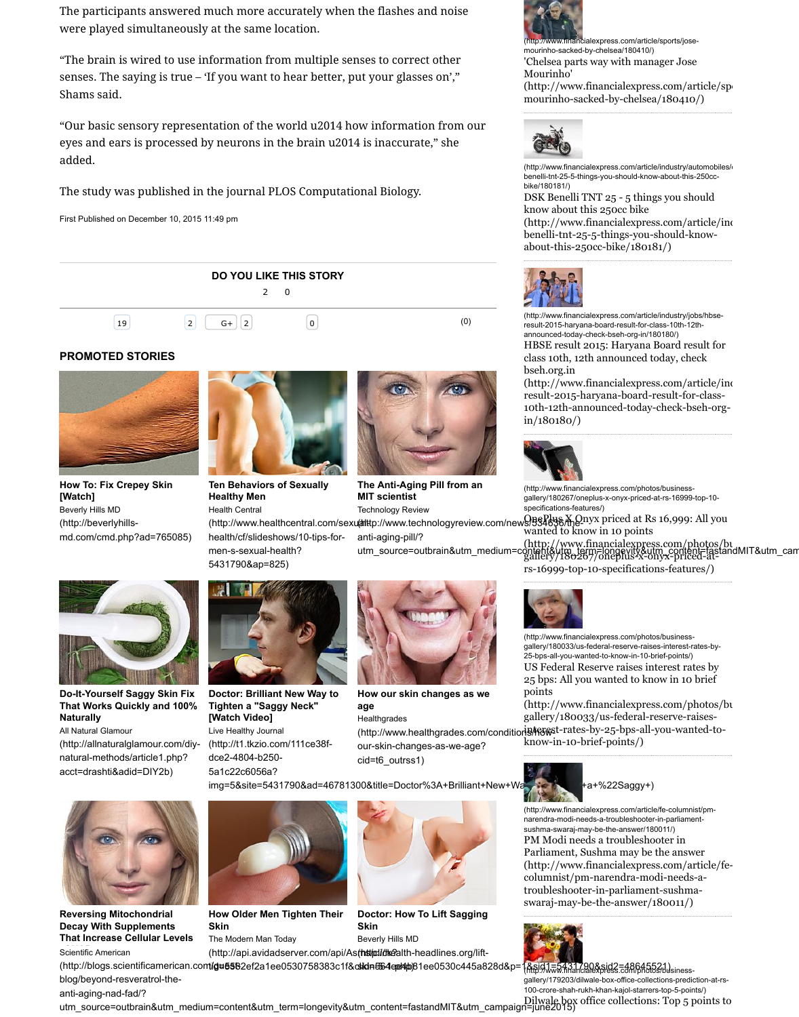## **How To: Fix Crepey Skin [Watch]**

Beverly Hills MD (http://beverlyhillsmd.com/cmd.php?ad=765085)



# **Ten Behaviors of Sexually Healthy Men**

men-s-sexual-health?

5431790&ap=825)

Health Central

### **The Anti-Aging MIT scientist**

**Technology Revie** 

(http://www.healthcentral.com/sexualttp://www.tech health/cf/slideshows/10-tips-foranti-aging-pill/? utm\_source=ou



**Do-It-Yourself Saggy Skin Fix That Works Quickly and 100% Naturally**

All Natural Glamour

(http://allnaturalglamour.com/diynatural-methods/article1.php? acct=drashti&adid=DIY2b)



**Doctor: Brilliant New Way to Tighten a "Saggy Neck" [Watch Video]** Live Healthy Journal (http://t1.tkzio.com/111ce38fdce2-4804-b250- 5a1c22c6056a?



**How our skin on age Healthgrades** (http://www.hea our-skin-change cid=t6\_outrss1)

img=5&site=5431790&ad=46781300&title=Doctor



**Reversing Mitochondrial Decay With Supplements That Increase Cellular Levels**





**How Older Men Tighten Their Skin**

The Modern Man Today

**Doctor: How To Skin** Beverly Hills MD

**Scientific American** 

(http://api.avidadserver.com/api/As(http://dkealth-he

[\(http://blogs.scientificamerican.co](http://beverlyhills-md.com/cmd.php?ad=765085)mt/gu5582ef2a1ee0530758383c1f&clidn=564ee4p81 blog/beyond-resveratrol-the-

anti-aging-nad-fad/?

utm\_source=outbrain&utm\_mediu[m=content&utm\\_term=longevity&utm\\_](http://www.healthcentral.com/sexual-health/cf/slideshows/10-tips-for-men-s-sexual-health?5431790&ap=825)content=fast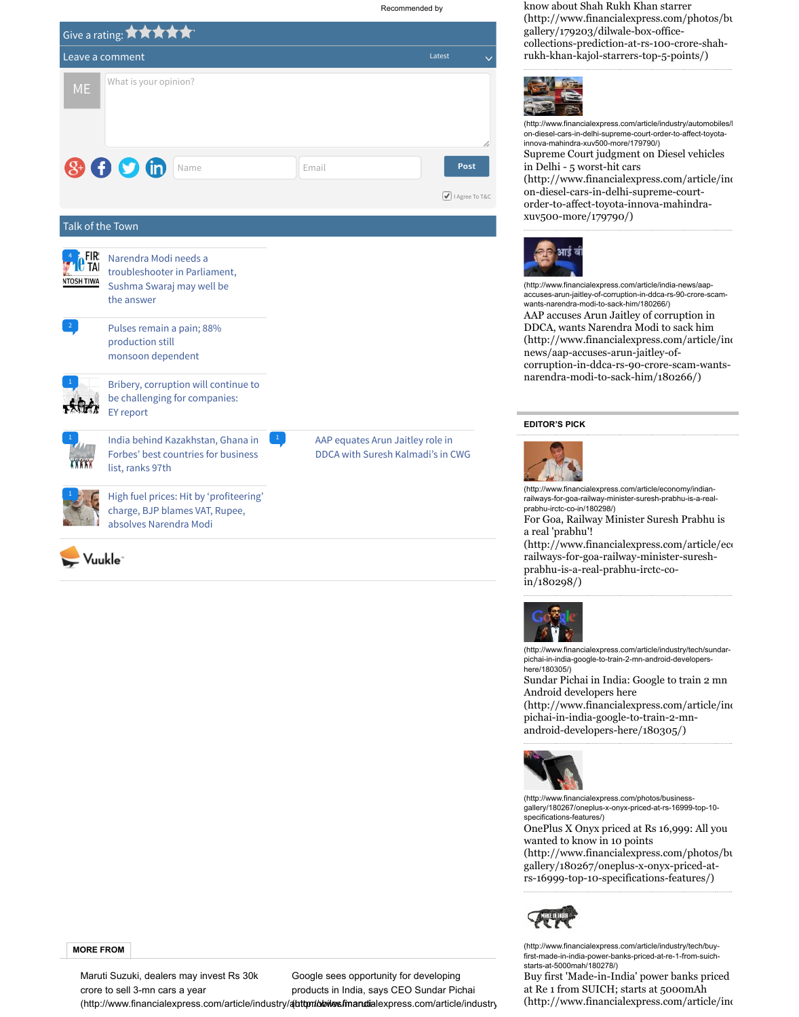



High fuel prices: Hit by 'profiteering' charge, BJP blames VAT, Rupee, absolves Narendra Modi



**MORE FROM**

Maruti [Suzuki, dealers may invest Rs 30k](http://vuukle.com/redirect.aspx?host=financialexpress.com&uri=financialexpress.com%2farticle%2feconomy%2fhigh-petrol-diesl-rate-hit-by-profiteering-charge-bjp-blames-vat-rupee-absolves-narendra-modi%2f179816%2f) crore to sell 3-mn cars a year (http://www.financialexpress.com/article/industry/auttom/oloiles/finandialexpress.co Google sees opportunity for de products in India, says CEO Su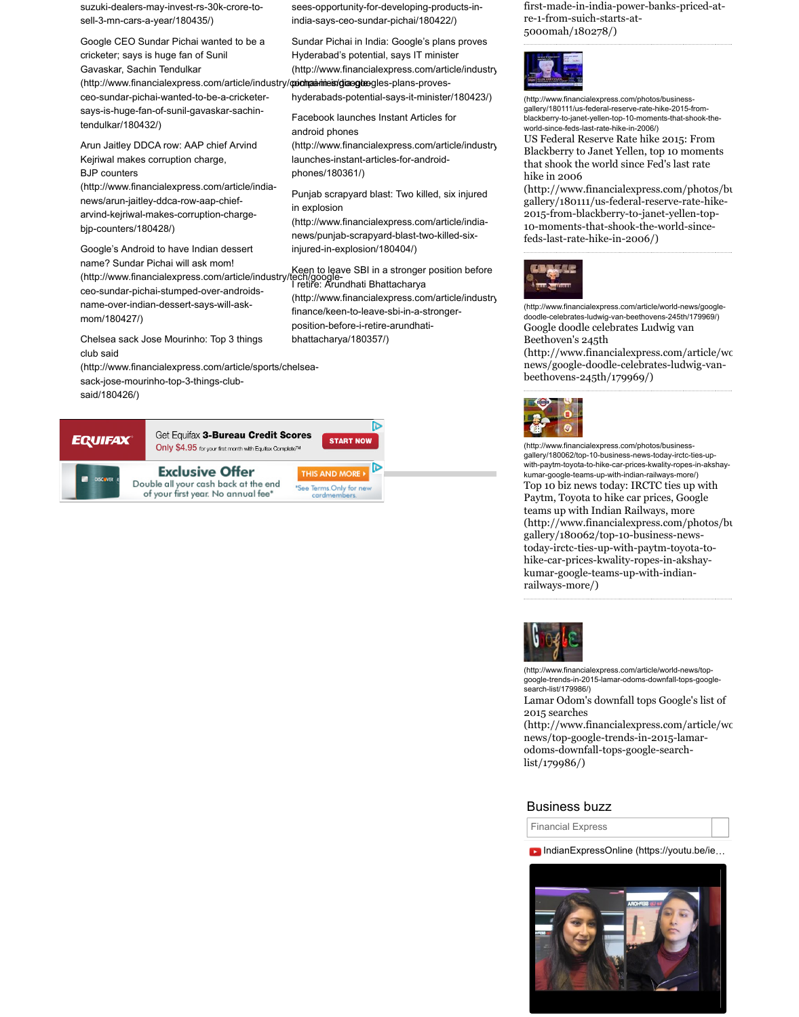

# **Exclusive Offer**

Double all your cash back at the end<br>of your first year. No annual fee\*